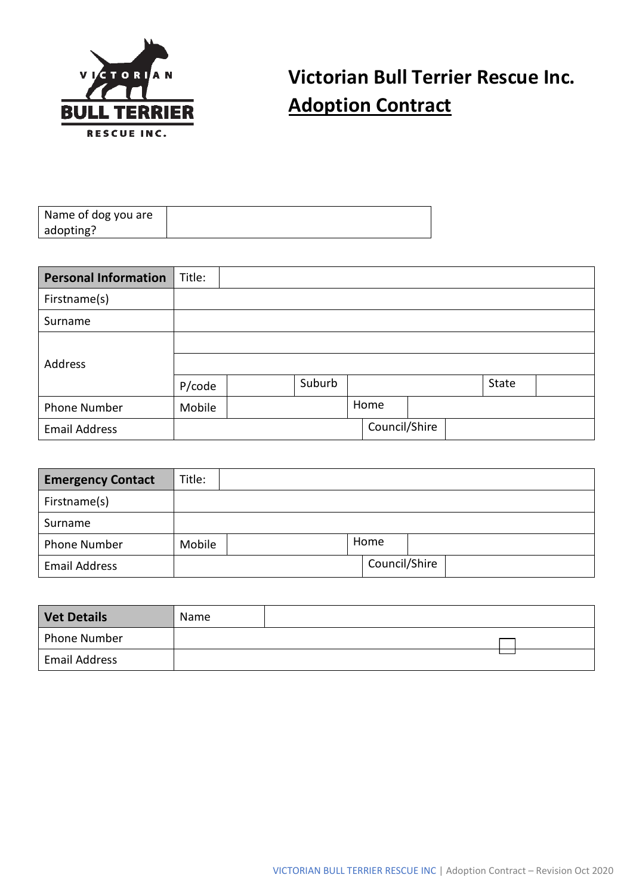

## **Victorian Bull Terrier Rescue Inc. Adoption Contract**

| <b>Personal Information</b> | Title: |        |               |  |       |  |
|-----------------------------|--------|--------|---------------|--|-------|--|
| Firstname(s)                |        |        |               |  |       |  |
| Surname                     |        |        |               |  |       |  |
|                             |        |        |               |  |       |  |
| Address                     |        |        |               |  |       |  |
|                             | P/code | Suburb |               |  | State |  |
| Phone Number                | Mobile |        | Home          |  |       |  |
| <b>Email Address</b>        |        |        | Council/Shire |  |       |  |

| <b>Emergency Contact</b> | Title: |      |               |  |
|--------------------------|--------|------|---------------|--|
| Firstname(s)             |        |      |               |  |
| Surname                  |        |      |               |  |
| Phone Number             | Mobile | Home |               |  |
| <b>Email Address</b>     |        |      | Council/Shire |  |

| <b>Vet Details</b>   | Name |  |
|----------------------|------|--|
| Phone Number         |      |  |
| <b>Email Address</b> |      |  |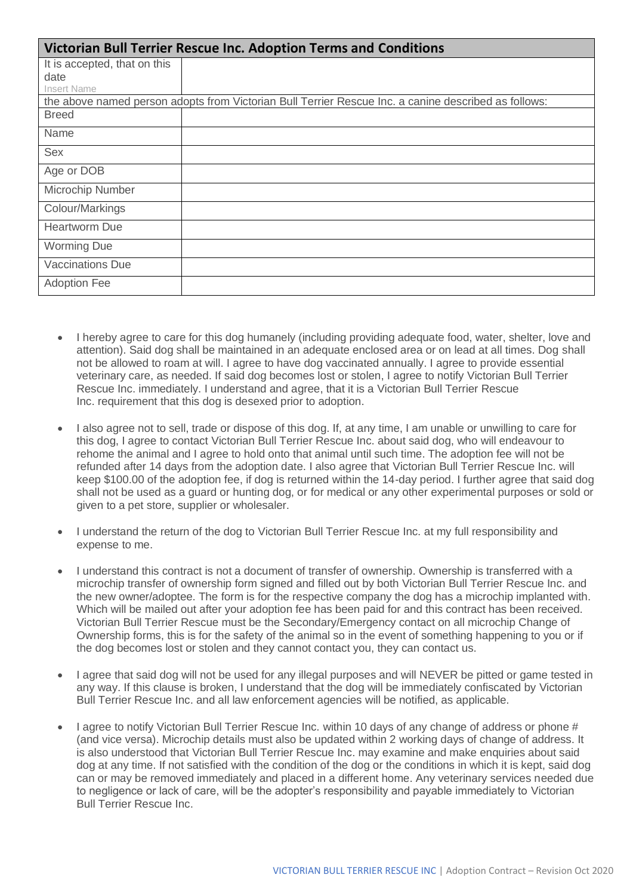| Victorian Bull Terrier Rescue Inc. Adoption Terms and Conditions |                                                                                                      |  |  |  |  |
|------------------------------------------------------------------|------------------------------------------------------------------------------------------------------|--|--|--|--|
| It is accepted, that on this                                     |                                                                                                      |  |  |  |  |
| date                                                             |                                                                                                      |  |  |  |  |
| Insert Name                                                      |                                                                                                      |  |  |  |  |
|                                                                  | the above named person adopts from Victorian Bull Terrier Rescue Inc. a canine described as follows: |  |  |  |  |
| <b>Breed</b>                                                     |                                                                                                      |  |  |  |  |
| Name                                                             |                                                                                                      |  |  |  |  |
| <b>Sex</b>                                                       |                                                                                                      |  |  |  |  |
| Age or DOB                                                       |                                                                                                      |  |  |  |  |
| Microchip Number                                                 |                                                                                                      |  |  |  |  |
| Colour/Markings                                                  |                                                                                                      |  |  |  |  |
| <b>Heartworm Due</b>                                             |                                                                                                      |  |  |  |  |
| <b>Worming Due</b>                                               |                                                                                                      |  |  |  |  |
| <b>Vaccinations Due</b>                                          |                                                                                                      |  |  |  |  |
| <b>Adoption Fee</b>                                              |                                                                                                      |  |  |  |  |

- I hereby agree to care for this dog humanely (including providing adequate food, water, shelter, love and attention). Said dog shall be maintained in an adequate enclosed area or on lead at all times. Dog shall not be allowed to roam at will. I agree to have dog vaccinated annually. I agree to provide essential veterinary care, as needed. If said dog becomes lost or stolen, I agree to notify Victorian Bull Terrier Rescue Inc. immediately. I understand and agree, that it is a Victorian Bull Terrier Rescue Inc. requirement that this dog is desexed prior to adoption.
- I also agree not to sell, trade or dispose of this dog. If, at any time, I am unable or unwilling to care for this dog, I agree to contact Victorian Bull Terrier Rescue Inc. about said dog, who will endeavour to rehome the animal and I agree to hold onto that animal until such time. The adoption fee will not be refunded after 14 days from the adoption date. I also agree that Victorian Bull Terrier Rescue Inc. will keep \$100.00 of the adoption fee, if dog is returned within the 14-day period. I further agree that said dog shall not be used as a guard or hunting dog, or for medical or any other experimental purposes or sold or given to a pet store, supplier or wholesaler.
- I understand the return of the dog to Victorian Bull Terrier Rescue Inc. at my full responsibility and expense to me.
- I understand this contract is not a document of transfer of ownership. Ownership is transferred with a microchip transfer of ownership form signed and filled out by both Victorian Bull Terrier Rescue Inc. and the new owner/adoptee. The form is for the respective company the dog has a microchip implanted with. Which will be mailed out after your adoption fee has been paid for and this contract has been received. Victorian Bull Terrier Rescue must be the Secondary/Emergency contact on all microchip Change of Ownership forms, this is for the safety of the animal so in the event of something happening to you or if the dog becomes lost or stolen and they cannot contact you, they can contact us.
- I agree that said dog will not be used for any illegal purposes and will NEVER be pitted or game tested in any way. If this clause is broken, I understand that the dog will be immediately confiscated by Victorian Bull Terrier Rescue Inc. and all law enforcement agencies will be notified, as applicable.
- I agree to notify Victorian Bull Terrier Rescue Inc. within 10 days of any change of address or phone # (and vice versa). Microchip details must also be updated within 2 working days of change of address. It is also understood that Victorian Bull Terrier Rescue Inc. may examine and make enquiries about said dog at any time. If not satisfied with the condition of the dog or the conditions in which it is kept, said dog can or may be removed immediately and placed in a different home. Any veterinary services needed due to negligence or lack of care, will be the adopter's responsibility and payable immediately to Victorian Bull Terrier Rescue Inc.